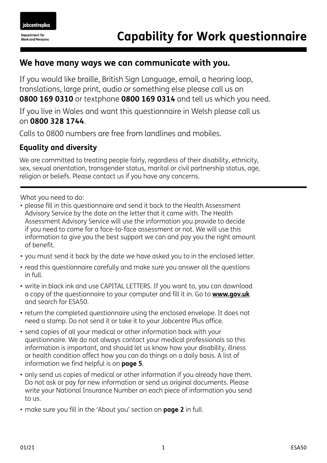## **We have many ways we can communicate with you.**

If you would like braille, British Sign Language, email, a hearing loop, translations, large print, audio or something else please call us on **0800 169 0310** or textphone **0800 169 0314** and tell us which you need.

If you live in Wales and want this questionnaire in Welsh please call us on **0800 328 1744**.

Calls to 0800 numbers are free from landlines and mobiles.

## **Equality and diversity**

We are committed to treating people fairly, regardless of their disability, ethnicity, sex, sexual orientation, transgender status, marital or civil partnership status, age, religion or beliefs. Please contact us if you have any concerns.

What you need to do:

- please fill in this questionnaire and send it back to the Health Assessment Advisory Service by the date on the letter that it came with. The Health Assessment Advisory Service will use the information you provide to decide if you need to come for a face-to-face assessment or not. We will use this information to give you the best support we can and pay you the right amount of benefit.
- you must send it back by the date we have asked you to in the enclosed letter.
- read this questionnaire carefully and make sure you answer all the questions in full.
- write in black ink and use CAPITAL LETTERS. If you want to, you can download a copy of the questionnaire to your computer and fill it in. Go to **[www.gov.uk](http://www.gov.uk)** and search for ESA50.
- return the completed questionnaire using the enclosed envelope. It does not need a stamp. Do not send it or take it to your Jobcentre Plus office.
- send copies of all your medical or other information back with your questionnaire. We do not always contact your medical professionals so this information is important, and should let us know how your disability, illness or health condition affect how you can do things on a daily basis. A list of information we find helpful is on **page 5**.
- only send us copies of medical or other information if you already have them. Do not ask or pay for new information or send us original documents. Please write your National Insurance Number on each piece of information you send to us.
- make sure you fill in the 'About you' section on **page 2** in full.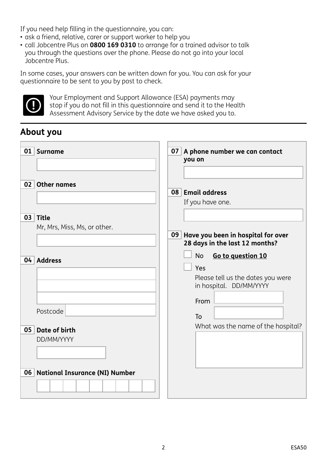If you need help filling in the questionnaire, you can:

- ask a friend, relative, carer or support worker to help you
- call Jobcentre Plus on **0800 169 0310** to arrange for a trained advisor to talk you through the questions over the phone. Please do not go into your local Jobcentre Plus.

In some cases, your answers can be written down for you. You can ask for your questionnaire to be sent to you by post to check.



Your Employment and Support Allowance (ESA) payments may stop if you do not fill in this questionnaire and send it to the Health Assessment Advisory Service by the date we have asked you to.

# **About you**

| 01   Surname                             | A phone number we can contact<br>07 <br>you on                                                                |
|------------------------------------------|---------------------------------------------------------------------------------------------------------------|
| 02 <br><b>Other names</b>                | 08 Email address<br>If you have one.                                                                          |
| 03 Title<br>Mr, Mrs, Miss, Ms, or other. | 09 Have you been in hospital for over<br>28 days in the last 12 months?                                       |
| 04 Address                               | <b>No</b><br>Go to question 10<br>Yes<br>Please tell us the dates you were<br>in hospital. DD/MM/YYYY<br>From |
| Postcode<br>Date of birth<br>05          | To<br>What was the name of the hospital?                                                                      |
| DD/MM/YYYY                               |                                                                                                               |
| 06 National Insurance (NI) Number        |                                                                                                               |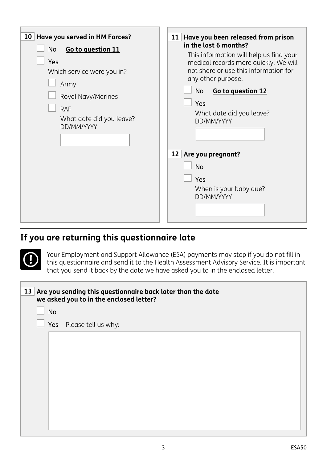<span id="page-2-1"></span><span id="page-2-0"></span>

# **If you are returning this questionnaire late**

<span id="page-2-2"></span>Your Employment and Support Allowance (ESA) payments may stop if you do not fill in this questionnaire and send it to the Health Assessment Advisory Service. It is important that you send it back by the date we have asked you to in the enclosed letter.

|           | 13 Are you sending this questionnaire back later than the date<br>we asked you to in the enclosed letter? |
|-----------|-----------------------------------------------------------------------------------------------------------|
| <b>No</b> |                                                                                                           |
|           | Yes Please tell us why:                                                                                   |
|           |                                                                                                           |
|           |                                                                                                           |
|           |                                                                                                           |
|           |                                                                                                           |
|           |                                                                                                           |
|           |                                                                                                           |
|           |                                                                                                           |
|           |                                                                                                           |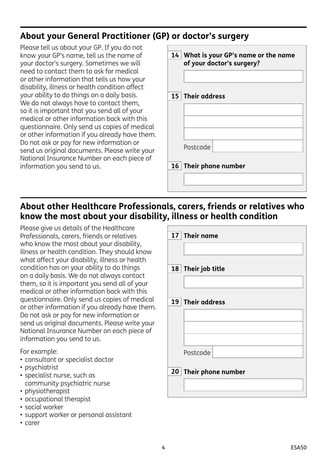# **About your General Practitioner (GP) or doctor's surgery**

Please tell us about your GP. If you do not know your GP's name, tell us the name of your doctor's surgery. Sometimes we will need to contact them to ask for medical or other information that tells us how your disability, illness or health condition affect your ability to do things on a daily basis. We do not always have to contact them, so it is important that you send all of your medical or other information back with this questionnaire. Only send us copies of medical or other information if you already have them. Do not ask or pay for new information or send us original documents. Please write your National Insurance Number on each piece of information you send to us.

| 14 What is your GP's name or the name<br>of your doctor's surgery? |                       |  |
|--------------------------------------------------------------------|-----------------------|--|
|                                                                    | 15 Their address      |  |
|                                                                    |                       |  |
|                                                                    |                       |  |
|                                                                    |                       |  |
|                                                                    | Postcode              |  |
|                                                                    | 16 Their phone number |  |
|                                                                    |                       |  |
|                                                                    |                       |  |

## **About other Healthcare Professionals, carers, friends or relatives who know the most about your disability, illness or health condition**

Please give us details of the Healthcare Professionals, carers, friends or relatives who know the most about your disability, illness or health condition. They should know what affect your disability, illness or health condition has on your ability to do things on a daily basis. We do not always contact them, so it is important you send all of your medical or other information back with this questionnaire. Only send us copies of medical or other information if you already have them. Do not ask or pay for new information or send us original documents. Please write your National Insurance Number on each piece of information you send to us.

For example:

- consultant or specialist doctor
- psychiatrist
- specialist nurse, such as community psychiatric nurse
- physiotherapist
- occupational therapist
- social worker
- support worker or personal assistant
- carer

| 17 Their name         |
|-----------------------|
|                       |
| 18 Their job title    |
|                       |
| 19 Their address      |
|                       |
|                       |
| Postcode              |
| 20 Their phone number |
|                       |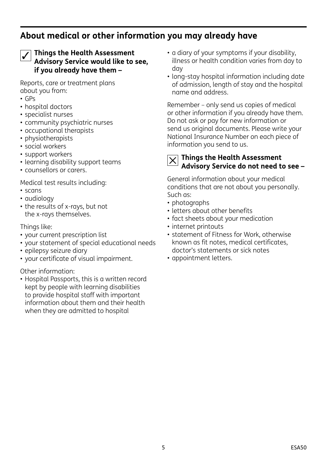## **About medical or other information you may already have**



#### **Things the Health Assessment Advisory Service would like to see, if you already have them –**

Reports, care or treatment plans about you from:

- GPs
- hospital doctors
- specialist nurses
- community psychiatric nurses
- occupational therapists
- physiotherapists
- social workers
- support workers
- learning disability support teams
- counsellors or carers.

Medical test results including:

- scans
- audiology
- the results of x-rays, but not the x-rays themselves.

Things like:

- your current prescription list
- your statement of special educational needs
- epilepsy seizure diary
- your certificate of visual impairment.

### Other information:

• Hospital Passports, this is a written record kept by people with learning disabilities to provide hospital staff with important information about them and their health when they are admitted to hospital

- a diary of your symptoms if your disability, illness or health condition varies from day to day
- long-stay hospital information including date of admission, length of stay and the hospital name and address.

Remember – only send us copies of medical or other information if you already have them. Do not ask or pay for new information or send us original documents. Please write your National Insurance Number on each piece of information you send to us.

#### **Things the Health Assessment Advisory Service do not need to see –**  $\times$

General information about your medical conditions that are not about you personally. Such as:

- photographs
- letters about other benefits
- fact sheets about your medication
- internet printouts
- statement of Fitness for Work, otherwise known as fit notes, medical certificates, doctor's statements or sick notes
- appointment letters.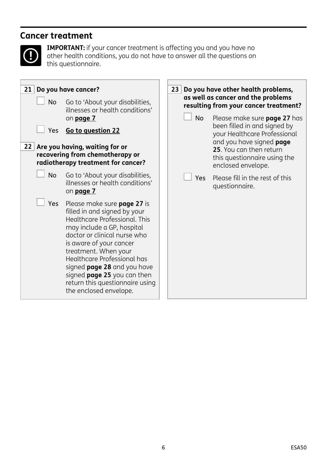## **Cancer treatment**



**IMPORTANT:** if your cancer treatment is affecting you and you have no other health conditions, you do not have to answer all the questions on this questionnaire.

<span id="page-5-0"></span>

| 21 Do you have cancer?                                                          | 23<br>Do you have other health problems,<br>as well as cancer and the problems                                                                                                                                                                                                                                                                                                        |  |                                       |                                                                                                           |
|---------------------------------------------------------------------------------|---------------------------------------------------------------------------------------------------------------------------------------------------------------------------------------------------------------------------------------------------------------------------------------------------------------------------------------------------------------------------------------|--|---------------------------------------|-----------------------------------------------------------------------------------------------------------|
| <b>No</b><br>Go to 'About your disabilities,<br>illnesses or health conditions' |                                                                                                                                                                                                                                                                                                                                                                                       |  | resulting from your cancer treatment? |                                                                                                           |
|                                                                                 | on <b>page 7</b>                                                                                                                                                                                                                                                                                                                                                                      |  | <b>No</b>                             | Please make sure page 27 has<br>been filled in and signed by                                              |
| Yes                                                                             | Go to question 22                                                                                                                                                                                                                                                                                                                                                                     |  |                                       | your Healthcare Professional                                                                              |
|                                                                                 | 22 Are you having, waiting for or<br>recovering from chemotherapy or<br>radiotherapy treatment for cancer?                                                                                                                                                                                                                                                                            |  |                                       | and you have signed page<br>25. You can then return<br>this questionnaire using the<br>enclosed envelope. |
| No                                                                              | Go to 'About your disabilities,<br>illnesses or health conditions'<br>on page 7                                                                                                                                                                                                                                                                                                       |  |                                       | Yes Please fill in the rest of this<br>questionnaire.                                                     |
| Yes                                                                             | Please make sure <b>page 27</b> is<br>filled in and signed by your<br>Healthcare Professional. This<br>may include a GP, hospital<br>doctor or clinical nurse who<br>is aware of your cancer<br>treatment. When your<br>Healthcare Professional has<br>signed <b>page 28</b> and you have<br>signed page 25 you can then<br>return this questionnaire using<br>the enclosed envelope. |  |                                       |                                                                                                           |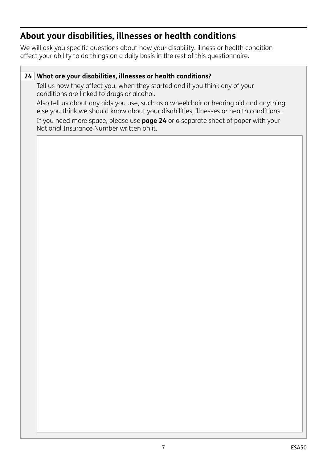# <span id="page-6-0"></span>**About your disabilities, illnesses or health conditions**

We will ask you specific questions about how your disability, illness or health condition affect your ability to do things on a daily basis in the rest of this questionnaire.

## **24 What are your disabilities, illnesses or health conditions?**

Tell us how they affect you, when they started and if you think any of your conditions are linked to drugs or alcohol.

Also tell us about any aids you use, such as a wheelchair or hearing aid and anything else you think we should know about your disabilities, illnesses or health conditions.

If you need more space, please use **page 24** or a separate sheet of paper with your National Insurance Number written on it.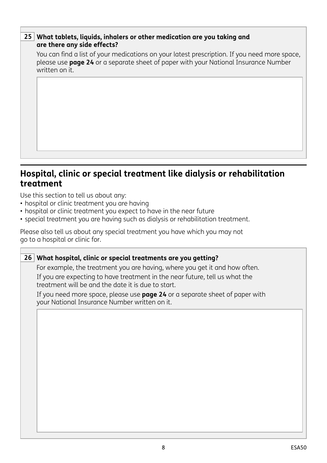### **25 What tablets, liquids, inhalers or other medication are you taking and are there any side effects?**

You can find a list of your medications on your latest prescription. If you need more space, please use **page 24** or a separate sheet of paper with your National Insurance Number written on it.

## **Hospital, clinic or special treatment like dialysis or rehabilitation treatment**

Use this section to tell us about any:

- hospital or clinic treatment you are having
- hospital or clinic treatment you expect to have in the near future
- special treatment you are having such as dialysis or rehabilitation treatment.

Please also tell us about any special treatment you have which you may not go to a hospital or clinic for.

# **26 What hospital, clinic or special treatments are you getting?** For example, the treatment you are having, where you get it and how often. If you are expecting to have treatment in the near future, tell us what the treatment will be and the date it is due to start. If you need more space, please use **page 24** or a separate sheet of paper with your National Insurance Number written on it.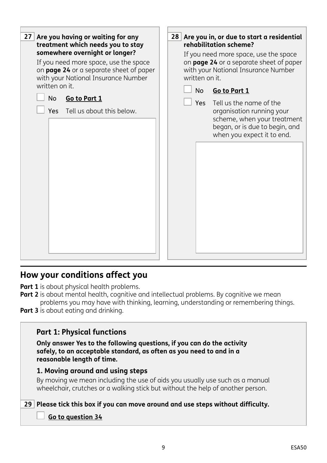

## <span id="page-8-0"></span>**How your conditions affect you**

**Part 1** is about physical health problems.

- **Part 2** is about mental health, cognitive and intellectual problems. By cognitive we mean problems you may have with thinking, learning, understanding or remembering things.
- **Part 3** is about eating and drinking.

## **Part 1: Physical functions**

**Only answer Yes to the following questions, if you can do the activity safely, to an acceptable standard, as often as you need to and in a reasonable length of time.**

### **1. Moving around and using steps**

By moving we mean including the use of aids you usually use such as a manual wheelchair, crutches or a walking stick but without the help of another person.

**29 Please tick this box if you can move around and use steps without difficulty.**

#### **[Go to question 34](#page-10-0)**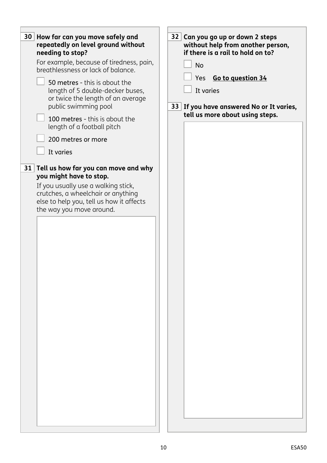| 30 <br>How far can you move safely and<br>repeatedly on level ground without<br>needing to stop?<br>For example, because of tiredness, pain,<br>breathlessness or lack of balance.<br>50 metres - this is about the<br>length of 5 double-decker buses,<br>or twice the length of an average<br>public swimming pool<br>100 metres - this is about the<br>length of a football pitch<br>200 metres or more<br>It varies<br>31 Tell us how far you can move and why<br>you might have to stop.<br>If you usually use a walking stick,<br>crutches, a wheelchair or anything<br>else to help you, tell us how it affects<br>the way you move around. | 32 Can you go up or down 2 steps<br>without help from another person,<br>if there is a rail to hold on to?<br><b>No</b><br>Yes Go to question 34<br>It varies<br>33 If you have answered No or It varies,<br>tell us more about using steps. |
|----------------------------------------------------------------------------------------------------------------------------------------------------------------------------------------------------------------------------------------------------------------------------------------------------------------------------------------------------------------------------------------------------------------------------------------------------------------------------------------------------------------------------------------------------------------------------------------------------------------------------------------------------|----------------------------------------------------------------------------------------------------------------------------------------------------------------------------------------------------------------------------------------------|
|                                                                                                                                                                                                                                                                                                                                                                                                                                                                                                                                                                                                                                                    |                                                                                                                                                                                                                                              |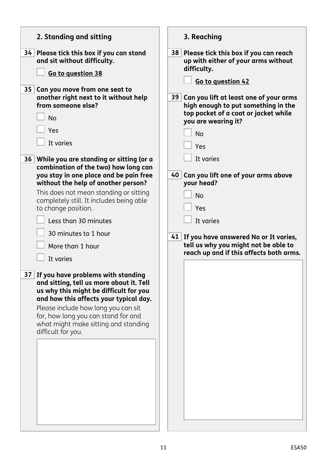<span id="page-10-1"></span><span id="page-10-0"></span>

| 2. Standing and sitting                                                                                                                                                                                                                                                                                                                                                                                                              | 3. Reaching                                                                                                                                                                                                                                                                                       |
|--------------------------------------------------------------------------------------------------------------------------------------------------------------------------------------------------------------------------------------------------------------------------------------------------------------------------------------------------------------------------------------------------------------------------------------|---------------------------------------------------------------------------------------------------------------------------------------------------------------------------------------------------------------------------------------------------------------------------------------------------|
| 34<br>Please tick this box if you can stand<br>and sit without difficulty.                                                                                                                                                                                                                                                                                                                                                           | 38 Please tick this box if you can reach<br>up with either of your arms without                                                                                                                                                                                                                   |
| Go to question 38                                                                                                                                                                                                                                                                                                                                                                                                                    | difficulty.                                                                                                                                                                                                                                                                                       |
| 35 <sub>1</sub><br>Can you move from one seat to<br>another right next to it without help<br>from someone else?<br><b>No</b><br>Yes<br>It varies<br>36 While you are standing or sitting (or a<br>combination of the two) how long can<br>you stay in one place and be pain free<br>without the help of another person?<br>This does not mean standing or sitting<br>completely still. It includes being able<br>to change position. | Go to question 42<br>Can you lift at least one of your arms<br>39 <sup>°</sup><br>high enough to put something in the<br>top pocket of a coat or jacket while<br>you are wearing it?<br><b>No</b><br>Yes<br>It varies<br>40 Can you lift one of your arms above<br>your head?<br><b>No</b><br>Yes |
| Less than 30 minutes<br>30 minutes to 1 hour                                                                                                                                                                                                                                                                                                                                                                                         | It varies                                                                                                                                                                                                                                                                                         |
| More than 1 hour<br>It varies                                                                                                                                                                                                                                                                                                                                                                                                        | 41 If you have answered No or It varies,<br>tell us why you might not be able to<br>reach up and if this affects both arms.                                                                                                                                                                       |
| 37 If you have problems with standing<br>and sitting, tell us more about it. Tell<br>us why this might be difficult for you<br>and how this affects your typical day.<br>Please include how long you can sit<br>for, how long you can stand for and<br>what might make sitting and standing<br>difficult for you.                                                                                                                    |                                                                                                                                                                                                                                                                                                   |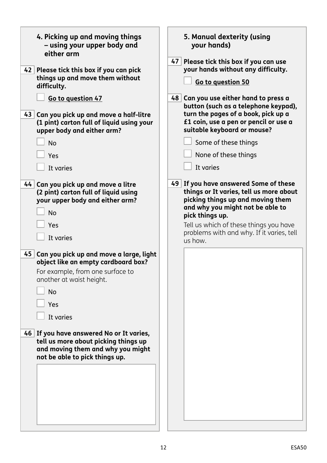<span id="page-11-1"></span><span id="page-11-0"></span>

| 4. Picking up and moving things<br>- using your upper body and<br>either arm<br>42 Please tick this box if you can pick<br>things up and move them without<br>difficulty.<br>Go to question 47<br>43 Can you pick up and move a half-litre<br>(1 pint) carton full of liquid using your<br>upper body and either arm?<br><b>No</b><br>Yes<br>It varies                            | 5. Manual dexterity (using<br>your hands)<br>47 Please tick this box if you can use<br>your hands without any difficulty.<br>Go to question 50<br>48 Can you use either hand to press a<br>button (such as a telephone keypad),<br>turn the pages of a book, pick up a<br>£1 coin, use a pen or pencil or use a<br>suitable keyboard or mouse?<br>Some of these things<br>None of these things<br>It varies |
|-----------------------------------------------------------------------------------------------------------------------------------------------------------------------------------------------------------------------------------------------------------------------------------------------------------------------------------------------------------------------------------|-------------------------------------------------------------------------------------------------------------------------------------------------------------------------------------------------------------------------------------------------------------------------------------------------------------------------------------------------------------------------------------------------------------|
| 44 Can you pick up and move a litre<br>(2 pint) carton full of liquid using<br>your upper body and either arm?<br><b>No</b><br>Yes<br>It varies<br>45 Can you pick up and move a large, light<br>object like an empty cardboard box?<br>For example, from one surface to<br>another at waist height.<br><b>No</b><br>Yes<br>It varies<br>46 If you have answered No or It varies, | 49 If you have answered Some of these<br>things or It varies, tell us more about<br>picking things up and moving them<br>and why you might not be able to<br>pick things up.<br>Tell us which of these things you have<br>problems with and why. If it varies, tell<br>us how.                                                                                                                              |
| tell us more about picking things up<br>and moving them and why you might<br>not be able to pick things up.                                                                                                                                                                                                                                                                       |                                                                                                                                                                                                                                                                                                                                                                                                             |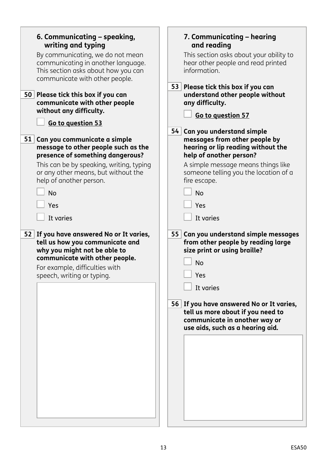<span id="page-12-1"></span><span id="page-12-0"></span>

| 6. Communicating - speaking,                                                                                                                                                                                  | 7. Communicating - hearing                                                                                                                                                                                                                                                                                |
|---------------------------------------------------------------------------------------------------------------------------------------------------------------------------------------------------------------|-----------------------------------------------------------------------------------------------------------------------------------------------------------------------------------------------------------------------------------------------------------------------------------------------------------|
| writing and typing                                                                                                                                                                                            | and reading                                                                                                                                                                                                                                                                                               |
| By communicating, we do not mean                                                                                                                                                                              | This section asks about your ability to                                                                                                                                                                                                                                                                   |
| communicating in another language.                                                                                                                                                                            | hear other people and read printed                                                                                                                                                                                                                                                                        |
| This section asks about how you can                                                                                                                                                                           | information.                                                                                                                                                                                                                                                                                              |
| communicate with other people.                                                                                                                                                                                | 53 Please tick this box if you can                                                                                                                                                                                                                                                                        |
| 50 Please tick this box if you can                                                                                                                                                                            | understand other people without                                                                                                                                                                                                                                                                           |
| communicate with other people                                                                                                                                                                                 | any difficulty.                                                                                                                                                                                                                                                                                           |
| without any difficulty.                                                                                                                                                                                       | Go to question 57                                                                                                                                                                                                                                                                                         |
| Go to question 53                                                                                                                                                                                             | 54                                                                                                                                                                                                                                                                                                        |
| 51                                                                                                                                                                                                            | Can you understand simple                                                                                                                                                                                                                                                                                 |
| Can you communicate a simple                                                                                                                                                                                  | messages from other people by                                                                                                                                                                                                                                                                             |
| message to other people such as the                                                                                                                                                                           | hearing or lip reading without the                                                                                                                                                                                                                                                                        |
| presence of something dangerous?                                                                                                                                                                              | help of another person?                                                                                                                                                                                                                                                                                   |
| This can be by speaking, writing, typing                                                                                                                                                                      | A simple message means things like                                                                                                                                                                                                                                                                        |
| or any other means, but without the                                                                                                                                                                           | someone telling you the location of a                                                                                                                                                                                                                                                                     |
| help of another person.                                                                                                                                                                                       | fire escape.                                                                                                                                                                                                                                                                                              |
| <b>No</b>                                                                                                                                                                                                     | <b>No</b>                                                                                                                                                                                                                                                                                                 |
| Yes                                                                                                                                                                                                           | Yes                                                                                                                                                                                                                                                                                                       |
| It varies                                                                                                                                                                                                     | It varies                                                                                                                                                                                                                                                                                                 |
| 52 If you have answered No or It varies,<br>tell us how you communicate and<br>why you might not be able to<br>communicate with other people.<br>For example, difficulties with<br>speech, writing or typing. | 55 Can you understand simple messages<br>from other people by reading large<br>size print or using braille?<br><b>No</b><br>$\Box$ Yes<br>It varies<br>56 If you have answered No or It varies,<br>tell us more about if you need to<br>communicate in another way or<br>use aids, such as a hearing aid. |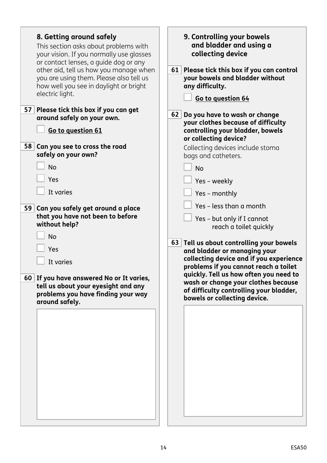<span id="page-13-1"></span><span id="page-13-0"></span>

| 8. Getting around safely<br>This section asks about problems with<br>your vision. If you normally use glasses<br>or contact lenses, a guide dog or any<br>other aid, tell us how you manage when<br>you are using them. Please also tell us<br>how well you see in daylight or bright<br>electric light. | 9. Controlling your bowels<br>and bladder and using a<br>collecting device<br>61 Please tick this box if you can control<br>your bowels and bladder without<br>any difficulty.<br>Go to question 64                                                                                                                                                                              |
|----------------------------------------------------------------------------------------------------------------------------------------------------------------------------------------------------------------------------------------------------------------------------------------------------------|----------------------------------------------------------------------------------------------------------------------------------------------------------------------------------------------------------------------------------------------------------------------------------------------------------------------------------------------------------------------------------|
| 57 Please tick this box if you can get<br>around safely on your own.<br>Go to question 61<br>58 Can you see to cross the road<br>safely on your own?<br><b>No</b>                                                                                                                                        | 62 <br>Do you have to wash or change<br>your clothes because of difficulty<br>controlling your bladder, bowels<br>or collecting device?<br>Collecting devices include stoma<br>bags and catheters.<br><b>No</b>                                                                                                                                                                  |
| Yes<br>It varies                                                                                                                                                                                                                                                                                         | Yes - weekly<br>Yes - monthly<br>Yes - less than a month                                                                                                                                                                                                                                                                                                                         |
| 59 Can you safely get around a place<br>that you have not been to before<br>without help?<br><b>No</b><br>Yes<br>It varies<br>60 If you have answered No or It varies,<br>tell us about your eyesight and any<br>problems you have finding your way<br>around safely.                                    | Yes - but only if I cannot<br>reach a toilet quickly<br>63 Tell us about controlling your bowels<br>and bladder or managing your<br>collecting device and if you experience<br>problems if you cannot reach a toilet<br>quickly. Tell us how often you need to<br>wash or change your clothes because<br>of difficulty controlling your bladder,<br>bowels or collecting device. |
|                                                                                                                                                                                                                                                                                                          |                                                                                                                                                                                                                                                                                                                                                                                  |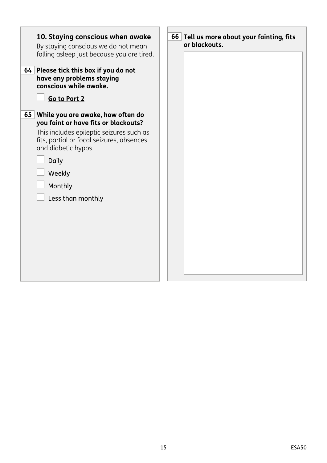<span id="page-14-0"></span>

| 10. Staying conscious when awake<br>By staying conscious we do not mean<br>falling asleep just because you are tired.<br>64 Please tick this box if you do not<br>have any problems staying<br>conscious while awake.<br>Go to Part 2              | 66 Tell us more about your fainting, fits<br>or blackouts. |
|----------------------------------------------------------------------------------------------------------------------------------------------------------------------------------------------------------------------------------------------------|------------------------------------------------------------|
| 65<br>While you are awake, how often do<br>you faint or have fits or blackouts?<br>This includes epileptic seizures such as<br>fits, partial or focal seizures, absences<br>and diabetic hypos.<br>Daily<br>Weekly<br>Monthly<br>Less than monthly |                                                            |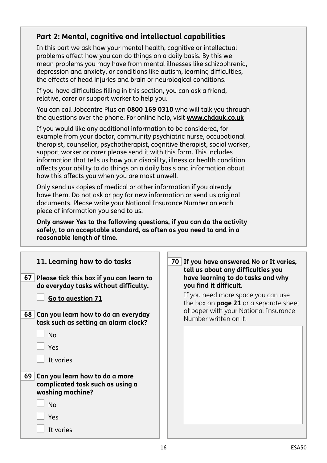## <span id="page-15-0"></span>**Part 2: Mental, cognitive and intellectual capabilities**

In this part we ask how your mental health, cognitive or intellectual problems affect how you can do things on a daily basis. By this we mean problems you may have from mental illnesses like schizophrenia, depression and anxiety, or conditions like autism, learning difficulties, the effects of head injuries and brain or neurological conditions.

If you have difficulties filling in this section, you can ask a friend, relative, carer or support worker to help you.

You can call Jobcentre Plus on **0800 169 0310** who will talk you through the questions over the phone. For online help, visit **[www.chdauk.co.uk](http://www.chdauk.co.uk)**

If you would like any additional information to be considered, for example from your doctor, community psychiatric nurse, occupational therapist, counsellor, psychotherapist, cognitive therapist, social worker, support worker or carer please send it with this form. This includes information that tells us how your disability, illness or health condition affects your ability to do things on a daily basis and information about how this affects you when you are most unwell.

Only send us copies of medical or other information if you already have them. Do not ask or pay for new information or send us original documents. Please write your National Insurance Number on each piece of information you send to us.

**Only answer Yes to the following questions, if you can do the activity safely, to an acceptable standard, as often as you need to and in a reasonable length of time.**

| 11. Learning how to do tasks<br>67 Please tick this box if you can learn to<br>do everyday tasks without difficulty. | 70 If you have answered No or It varies,<br>tell us about any difficulties you<br>have learning to do tasks and why<br>you find it difficult.         |
|----------------------------------------------------------------------------------------------------------------------|-------------------------------------------------------------------------------------------------------------------------------------------------------|
| Go to question 71<br>68 <br>Can you learn how to do an everyday<br>task such as setting an alarm clock?              | If you need more space you can use<br>the box on <b>page 21</b> or a separate sheet<br>of paper with your National Insurance<br>Number written on it. |
| <b>No</b><br>Yes<br>It varies                                                                                        |                                                                                                                                                       |
| 69<br>Can you learn how to do a more<br>complicated task such as using a<br>washing machine?                         |                                                                                                                                                       |
| <b>No</b><br>Yes                                                                                                     |                                                                                                                                                       |
| It varies                                                                                                            |                                                                                                                                                       |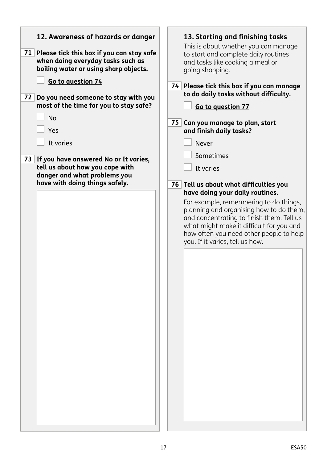<span id="page-16-1"></span><span id="page-16-0"></span>

| 12. Awareness of hazards or danger                                                                                                            | 13. Starting and finishing tasks                                                                                                                                                                                                                                                                                                                                |
|-----------------------------------------------------------------------------------------------------------------------------------------------|-----------------------------------------------------------------------------------------------------------------------------------------------------------------------------------------------------------------------------------------------------------------------------------------------------------------------------------------------------------------|
| 71 Please tick this box if you can stay safe                                                                                                  | This is about whether you can manage                                                                                                                                                                                                                                                                                                                            |
| when doing everyday tasks such as                                                                                                             | to start and complete daily routines                                                                                                                                                                                                                                                                                                                            |
| boiling water or using sharp objects.                                                                                                         | and tasks like cooking a meal or                                                                                                                                                                                                                                                                                                                                |
| Go to question 74                                                                                                                             | going shopping.                                                                                                                                                                                                                                                                                                                                                 |
| 72                                                                                                                                            | 74 Please tick this box if you can manage                                                                                                                                                                                                                                                                                                                       |
| Do you need someone to stay with you                                                                                                          | to do daily tasks without difficulty.                                                                                                                                                                                                                                                                                                                           |
| most of the time for you to stay safe?                                                                                                        | Go to question 77                                                                                                                                                                                                                                                                                                                                               |
| <b>No</b>                                                                                                                                     | 75 Can you manage to plan, start                                                                                                                                                                                                                                                                                                                                |
| Yes                                                                                                                                           | and finish daily tasks?                                                                                                                                                                                                                                                                                                                                         |
| It varies                                                                                                                                     | <b>Never</b>                                                                                                                                                                                                                                                                                                                                                    |
| 73 If you have answered No or It varies,<br>tell us about how you cope with<br>danger and what problems you<br>have with doing things safely. | Sometimes<br>It varies<br>76 Tell us about what difficulties you<br>have doing your daily routines.<br>For example, remembering to do things,<br>planning and organising how to do them,<br>and concentrating to finish them. Tell us<br>what might make it difficult for you and<br>how often you need other people to help<br>you. If it varies, tell us how. |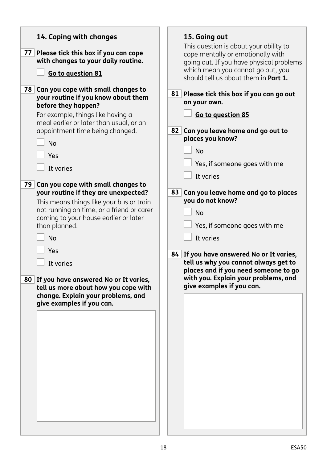<span id="page-17-1"></span><span id="page-17-0"></span>

| 14. Coping with changes<br>77<br>Please tick this box if you can cope<br>with changes to your daily routine.<br>Go to question 81                                                                                                                                                                                                                                                                                                                                                                                                                                                                                                                                                          | 15. Going out<br>This question is about your ability to<br>cope mentally or emotionally with<br>going out. If you have physical problems<br>which mean you cannot go out, you<br>should tell us about them in <b>Part 1.</b>                                                                                                                                                                                                                                                                                                         |
|--------------------------------------------------------------------------------------------------------------------------------------------------------------------------------------------------------------------------------------------------------------------------------------------------------------------------------------------------------------------------------------------------------------------------------------------------------------------------------------------------------------------------------------------------------------------------------------------------------------------------------------------------------------------------------------------|--------------------------------------------------------------------------------------------------------------------------------------------------------------------------------------------------------------------------------------------------------------------------------------------------------------------------------------------------------------------------------------------------------------------------------------------------------------------------------------------------------------------------------------|
| 78 <br>Can you cope with small changes to<br>your routine if you know about them<br>before they happen?<br>For example, things like having a<br>meal earlier or later than usual, or an<br>appointment time being changed.<br><b>No</b><br>Yes<br>It varies<br>79<br>Can you cope with small changes to<br>your routine if they are unexpected?<br>This means things like your bus or train<br>not running on time, or a friend or carer<br>coming to your house earlier or later<br>than planned.<br><b>No</b><br>Yes<br>It varies<br>80 If you have answered No or It varies,<br>tell us more about how you cope with<br>change. Explain your problems, and<br>give examples if you can. | 81 Please tick this box if you can go out<br>on your own.<br>Go to question 85<br>Can you leave home and go out to<br>82 <br>places you know?<br><b>No</b><br>Yes, if someone goes with me<br>It varies<br>Can you leave home and go to places<br>83 <br>you do not know?<br><b>No</b><br>Yes, if someone goes with me<br>It varies<br>84 If you have answered No or It varies,<br>tell us why you cannot always get to<br>places and if you need someone to go<br>with you. Explain your problems, and<br>give examples if you can. |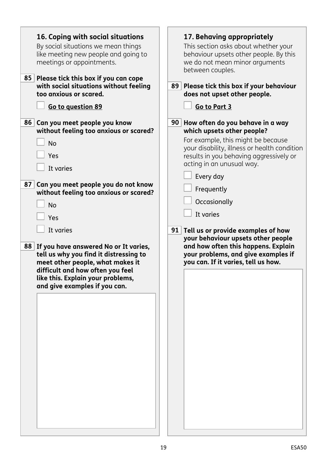<span id="page-18-1"></span><span id="page-18-0"></span>

| 16. Coping with social situations<br>By social situations we mean things<br>like meeting new people and going to<br>meetings or appointments.<br>85 <br>Please tick this box if you can cope<br>with social situations without feeling<br>too anxious or scared. | 17. Behaving appropriately<br>This section asks about whether your<br>behaviour upsets other people. By this<br>we do not mean minor arguments<br>between couples.<br>89 Please tick this box if your behaviour<br>does not upset other people. |
|------------------------------------------------------------------------------------------------------------------------------------------------------------------------------------------------------------------------------------------------------------------|-------------------------------------------------------------------------------------------------------------------------------------------------------------------------------------------------------------------------------------------------|
| Go to question 89                                                                                                                                                                                                                                                | Go to Part 3                                                                                                                                                                                                                                    |
| Can you meet people you know<br>86 <br>without feeling too anxious or scared?<br><b>No</b><br>Yes<br>It varies                                                                                                                                                   | 90 How often do you behave in a way<br>which upsets other people?<br>For example, this might be because<br>your disability, illness or health condition<br>results in you behaving aggressively or<br>acting in an unusual way.                 |
| 87 <br>Can you meet people you do not know<br>without feeling too anxious or scared?<br><b>No</b><br>Yes                                                                                                                                                         | Every day<br>Frequently<br>Occasionally<br>It varies                                                                                                                                                                                            |
| It varies<br>88 If you have answered No or It varies,<br>tell us why you find it distressing to<br>meet other people, what makes it<br>difficult and how often you feel                                                                                          | 91   Tell us or provide examples of how<br>your behaviour upsets other people<br>and how often this happens. Explain<br>your problems, and give examples if<br>you can. If it varies, tell us how.                                              |
| like this. Explain your problems,<br>and give examples if you can.                                                                                                                                                                                               |                                                                                                                                                                                                                                                 |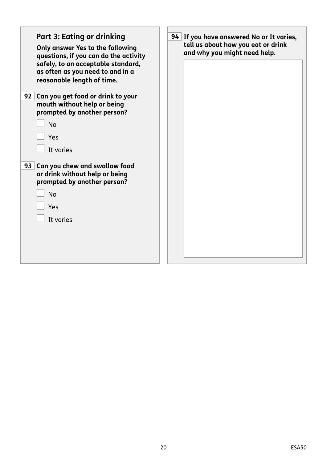<span id="page-19-0"></span>

| <b>Part 3: Eating or drinking</b><br>Only answer Yes to the following<br>questions, if you can do the activity<br>safely, to an acceptable standard,<br>as often as you need to and in a<br>reasonable length of time. | 94 If you have answered No or It varies,<br>tell us about how you eat or drink<br>and why you might need help. |
|------------------------------------------------------------------------------------------------------------------------------------------------------------------------------------------------------------------------|----------------------------------------------------------------------------------------------------------------|
| 92 <br>Can you get food or drink to your<br>mouth without help or being<br>prompted by another person?<br><b>No</b><br>Yes<br>It varies                                                                                |                                                                                                                |
| Can you chew and swallow food<br>93 <br>or drink without help or being<br>prompted by another person?<br><b>No</b><br>Yes<br>It varies                                                                                 |                                                                                                                |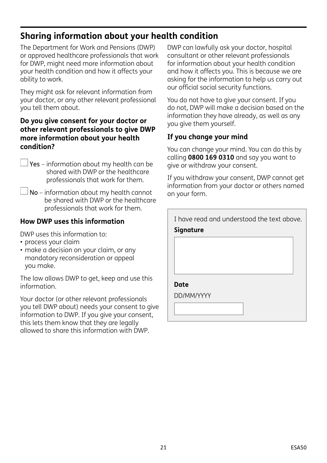# **Sharing information about your health condition**

The Department for Work and Pensions (DWP) or approved healthcare professionals that work for DWP, might need more information about your health condition and how it affects your ability to work.

They might ask for relevant information from your doctor, or any other relevant professional you tell them about.

## **Do you give consent for your doctor or other relevant professionals to give DWP more information about your health condition?**

- Yes information about my health can be shared with DWP or the healthcare professionals that work for them.
- No information about my health cannot be shared with DWP or the healthcare professionals that work for them.

## **How DWP uses this information**

DWP uses this information to:

- process your claim
- make a decision on your claim, or any mandatory reconsideration or appeal you make.

The law allows DWP to get, keep and use this information.

Your doctor (or other relevant professionals you tell DWP about) needs your consent to give information to DWP. If you give your consent, this lets them know that they are legally allowed to share this information with DWP.

DWP can lawfully ask your doctor, hospital consultant or other relevant professionals for information about your health condition and how it affects you. This is because we are asking for the information to help us carry out our official social security functions.

You do not have to give your consent. If you do not, DWP will make a decision based on the information they have already, as well as any you give them yourself.

## **If you change your mind**

You can change your mind. You can do this by calling **0800 169 0310** and say you want to give or withdraw your consent.

If you withdraw your consent, DWP cannot get information from your doctor or others named on your form.

| I have read and understood the text above. |  |  |
|--------------------------------------------|--|--|
| Signature                                  |  |  |
|                                            |  |  |
|                                            |  |  |
|                                            |  |  |
|                                            |  |  |
| Date                                       |  |  |
| DD/MM/YYYY                                 |  |  |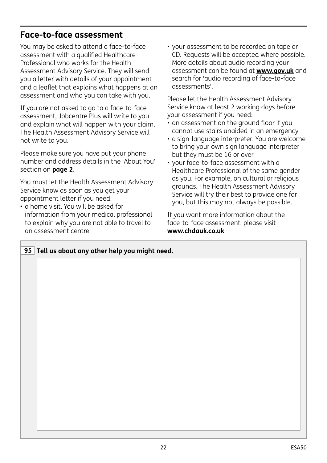## **Face-to-face assessment**

You may be asked to attend a face-to-face assessment with a qualified Healthcare Professional who works for the Health Assessment Advisory Service. They will send you a letter with details of your appointment and a leaflet that explains what happens at an assessment and who you can take with you.

If you are not asked to go to a face-to-face assessment, Jobcentre Plus will write to you and explain what will happen with your claim. The Health Assessment Advisory Service will not write to you.

Please make sure you have put your phone number and address details in the 'About You' section on **page 2**.

You must let the Health Assessment Advisory Service know as soon as you get your appointment letter if you need:

• a home visit. You will be asked for information from your medical professional to explain why you are not able to travel to an assessment centre

• your assessment to be recorded on tape or CD. Requests will be accepted where possible. More details about audio recording your assessment can be found at **[www.gov.uk](http://www.gov.uk)** and search for 'audio recording of face-to-face assessments'.

Please let the Health Assessment Advisory Service know at least 2 working days before your assessment if you need:

- an assessment on the ground floor if you cannot use stairs unaided in an emergency
- a sign-language interpreter. You are welcome to bring your own sign language interpreter but they must be 16 or over
- your face-to-face assessment with a Healthcare Professional of the same gender as you. For example, on cultural or religious grounds. The Health Assessment Advisory Service will try their best to provide one for you, but this may not always be possible.

If you want more information about the face-to-face assessment, please visit **[www.chdauk.co.uk](http://www.chdauk.co.uk)**

| 95 Tell us about any other help you might need. |  |  |
|-------------------------------------------------|--|--|
|                                                 |  |  |
|                                                 |  |  |
|                                                 |  |  |
|                                                 |  |  |
|                                                 |  |  |
|                                                 |  |  |
|                                                 |  |  |
|                                                 |  |  |
|                                                 |  |  |
|                                                 |  |  |
|                                                 |  |  |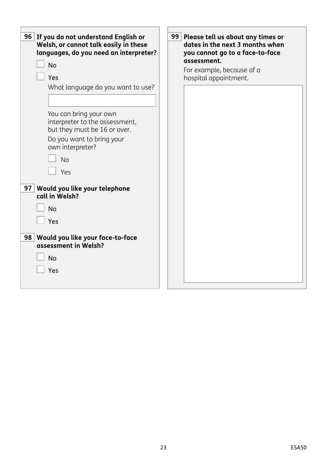| 96 If you do not understand English or<br>Welsh, or cannot talk easily in these<br>languages, do you need an interpreter?<br><b>No</b><br>Yes<br>What language do you want to use?<br>You can bring your own<br>interpreter to the assessment,<br>but they must be 16 or over.<br>Do you want to bring your<br>own interpreter? | 99 Please tell us about any times or<br>dates in the next 3 months when<br>you cannot go to a face-to-face<br>assessment.<br>For example, because of a<br>hospital appointment. |
|---------------------------------------------------------------------------------------------------------------------------------------------------------------------------------------------------------------------------------------------------------------------------------------------------------------------------------|---------------------------------------------------------------------------------------------------------------------------------------------------------------------------------|
| <b>No</b><br>Yes<br>Would you like your telephone<br>97 <br>call in Welsh?<br><b>No</b><br>Yes                                                                                                                                                                                                                                  |                                                                                                                                                                                 |
| 98 Would you like your face-to-face<br>assessment in Welsh?<br><b>No</b><br>Yes                                                                                                                                                                                                                                                 |                                                                                                                                                                                 |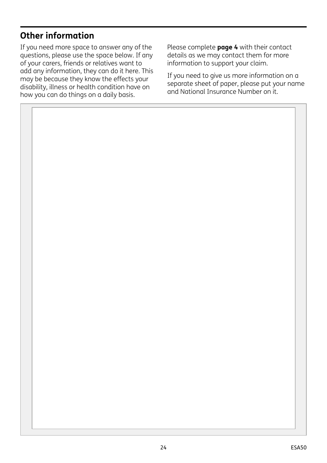# **Other information**

If you need more space to answer any of the questions, please use the space below. If any of your carers, friends or relatives want to add any information, they can do it here. This may be because they know the effects your disability, illness or health condition have on how you can do things on a daily basis.

Please complete **page 4** with their contact details as we may contact them for more information to support your claim.

If you need to give us more information on a separate sheet of paper, please put your name and National Insurance Number on it.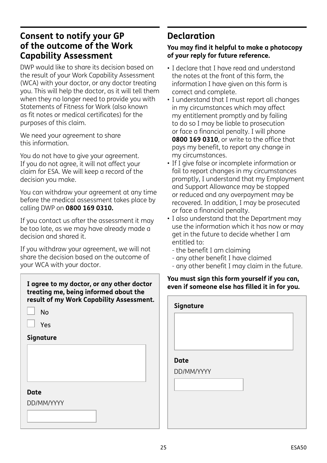## **Consent to notify your GP of the outcome of the Work Capability Assessment**

DWP would like to share its decision based on the result of your Work Capability Assessment (WCA) with your doctor, or any doctor treating you. This will help the doctor, as it will tell them when they no longer need to provide you with Statements of Fitness for Work (also known as fit notes or medical certificates) for the purposes of this claim.

We need your agreement to share this information.

You do not have to give your agreement. If you do not agree, it will not affect your claim for ESA. We will keep a record of the decision you make.

You can withdraw your agreement at any time before the medical assessment takes place by calling DWP on **0800 169 0310.**

If you contact us after the assessment it may be too late, as we may have already made a decision and shared it.

If you withdraw your agreement, we will not share the decision based on the outcome of your WCA with your doctor.

**I agree to my doctor, or any other doctor treating me, being informed about the result of my Work Capability Assessment.**

| No |
|----|
|----|

Yes

**Signature**

#### **Date**

DD/MM/YYYY

# **Declaration**

#### **You may find it helpful to make a photocopy of your reply for future reference.**

- I declare that I have read and understand the notes at the front of this form, the information I have given on this form is correct and complete.
- I understand that I must report all changes in my circumstances which may affect my entitlement promptly and by failing to do so I may be liable to prosecution or face a financial penalty. I will phone **0800 169 0310**, or write to the office that pays my benefit, to report any change in my circumstances.
- If I give false or incomplete information or fail to report changes in my circumstances promptly, I understand that my Employment and Support Allowance may be stopped or reduced and any overpayment may be recovered. In addition, I may be prosecuted or face a financial penalty.
- I also understand that the Department may use the information which it has now or may get in the future to decide whether I am entitled to:
	- the benefit I am claiming
	- any other benefit I have claimed
	- any other benefit I may claim in the future.

#### **You must sign this form yourself if you can, even if someone else has filled it in for you.**

| Signature   |  |  |
|-------------|--|--|
|             |  |  |
|             |  |  |
| <b>Date</b> |  |  |
| DD/MM/YYYY  |  |  |
|             |  |  |
|             |  |  |
|             |  |  |
|             |  |  |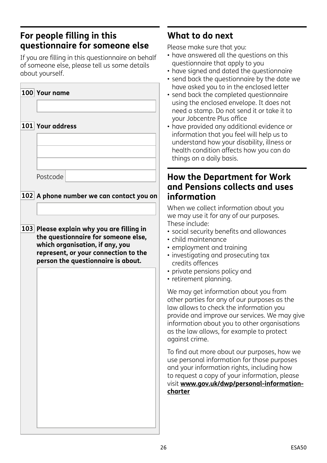# **For people filling in this questionnaire for someone else**

If you are filling in this questionnaire on behalf of someone else, please tell us some details about yourself.

| 100 Your name                                                                                                                                                                                     |
|---------------------------------------------------------------------------------------------------------------------------------------------------------------------------------------------------|
| 101 Your address                                                                                                                                                                                  |
|                                                                                                                                                                                                   |
| Postcode                                                                                                                                                                                          |
| 102 A phone number we can contact you on                                                                                                                                                          |
| 103 Please explain why you are filling in<br>the questionnaire for someone else,<br>which organisation, if any, you<br>represent, or your connection to the<br>person the questionnaire is about. |
|                                                                                                                                                                                                   |
|                                                                                                                                                                                                   |
|                                                                                                                                                                                                   |
|                                                                                                                                                                                                   |
|                                                                                                                                                                                                   |
|                                                                                                                                                                                                   |
|                                                                                                                                                                                                   |

# **What to do next**

Please make sure that you:

- have answered all the questions on this questionnaire that apply to you
- have signed and dated the questionnaire
- send back the questionnaire by the date we have asked you to in the enclosed letter
- send back the completed questionnaire using the enclosed envelope. It does not need a stamp. Do not send it or take it to your Jobcentre Plus office
- have provided any additional evidence or information that you feel will help us to understand how your disability, illness or health condition affects how you can do things on a daily basis.

## **How the Department for Work and Pensions collects and uses information**

When we collect information about you we may use it for any of our purposes. These include:

- social security benefits and allowances
- child maintenance
- employment and training
- investigating and prosecuting tax credits offences
- private pensions policy and
- retirement planning.

We may get information about you from other parties for any of our purposes as the law allows to check the information you provide and improve our services. We may give information about you to other organisations as the law allows, for example to protect against crime.

To find out more about our purposes, how we use personal information for those purposes and your information rights, including how to request a copy of your information, please visit **[www.gov.uk/dwp/personal-information](http://www.gov.uk/dwp/personal-information-charter)[charter](http://www.gov.uk/dwp/personal-information-charter)**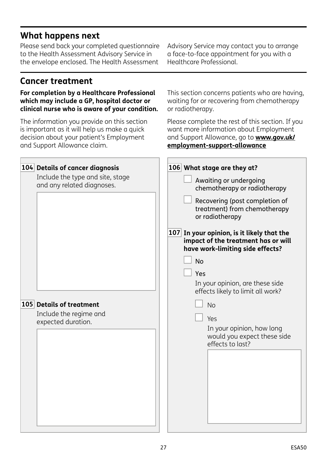# **What happens next**

Please send back your completed questionnaire to the Health Assessment Advisory Service in the envelope enclosed. The Health Assessment

# **Cancer treatment**

### **For completion by a Healthcare Professional which may include a GP, hospital doctor or clinical nurse who is aware of your condition.**

The information you provide on this section is important as it will help us make a quick decision about your patient's Employment and Support Allowance claim.

Advisory Service may contact you to arrange a face-to-face appointment for you with a Healthcare Professional.

This section concerns patients who are having, waiting for or recovering from chemotherapy or radiotherapy.

Please complete the rest of this section. If you want more information about Employment and Support Allowance, go to **[www.gov.uk/](http://www.gov.uk/employment-support-allowance) [employment-support-allowance](http://www.gov.uk/employment-support-allowance)**

| 104 Details of cancer diagnosis<br>Include the type and site, stage<br>and any related diagnoses. | 106 What stage are they at?<br>Awaiting or undergoing<br>chemotherapy or radiotherapy<br>Recovering (post completion of<br>treatment) from chemotherapy<br>or radiotherapy                                                                                                                                            |
|---------------------------------------------------------------------------------------------------|-----------------------------------------------------------------------------------------------------------------------------------------------------------------------------------------------------------------------------------------------------------------------------------------------------------------------|
| 105 Details of treatment<br>Include the regime and<br>expected duration.                          | 107 In your opinion, is it likely that the<br>impact of the treatment has or will<br>have work-limiting side effects?<br><b>No</b><br>Yes<br>In your opinion, are these side<br>effects likely to limit all work?<br><b>No</b><br>Yes<br>In your opinion, how long<br>would you expect these side<br>effects to last? |